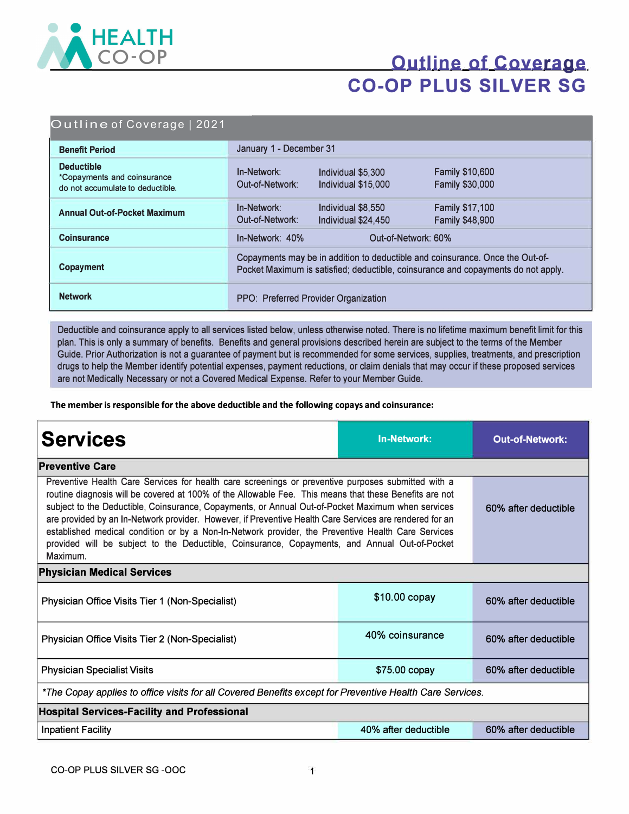

# **Outline of Coverage CO-OP PLUS SILVER SG**

#### Outline of Coverage | 2021

| <b>Benefit Period</b>                                                                | January 1 - December 31                                                                                                                                            |                                           |                                                  |
|--------------------------------------------------------------------------------------|--------------------------------------------------------------------------------------------------------------------------------------------------------------------|-------------------------------------------|--------------------------------------------------|
| <b>Deductible</b><br>*Copayments and coinsurance<br>do not accumulate to deductible. | In-Network:<br>Out-of-Network:                                                                                                                                     | Individual \$5,300<br>Individual \$15,000 | <b>Family \$10,600</b><br><b>Family \$30,000</b> |
| <b>Annual Out-of-Pocket Maximum</b>                                                  | In-Network:<br>Out-of-Network:                                                                                                                                     | Individual \$8,550<br>Individual \$24,450 | <b>Family \$17,100</b><br>Family \$48,900        |
| <b>Coinsurance</b>                                                                   | In-Network: 40%<br>Out-of-Network: 60%                                                                                                                             |                                           |                                                  |
| Copayment                                                                            | Copayments may be in addition to deductible and coinsurance. Once the Out-of-<br>Pocket Maximum is satisfied; deductible, coinsurance and copayments do not apply. |                                           |                                                  |
| <b>Network</b>                                                                       | PPO: Preferred Provider Organization                                                                                                                               |                                           |                                                  |

Deductible and coinsurance apply to all services listed below, unless otherwise noted. There is no lifetime maximum benefit limit for this plan. This is only a summary of benefits. Benefits and general provisions described herein are subject to the terms of the Member Guide. Prior Authorization is not a guarantee of payment but is recommended for some services, supplies, treatments, and prescription drugs to help the Member identify potential expenses, payment reductions, or claim denials that may occur if these proposed services are not Medically Necessary or not a Covered Medical Expense. Refer to your Member Guide.

**The member is responsible for the above deductible and the following copays and coinsurance:** 

| <b>Services</b>                                                                                                                                                                                                                                                                                                                                                                                                                                                                                                                                                                                                                                 | <b>In-Network:</b>   | <b>Out-of-Network:</b> |  |  |  |
|-------------------------------------------------------------------------------------------------------------------------------------------------------------------------------------------------------------------------------------------------------------------------------------------------------------------------------------------------------------------------------------------------------------------------------------------------------------------------------------------------------------------------------------------------------------------------------------------------------------------------------------------------|----------------------|------------------------|--|--|--|
| <b>Preventive Care</b>                                                                                                                                                                                                                                                                                                                                                                                                                                                                                                                                                                                                                          |                      |                        |  |  |  |
| Preventive Health Care Services for health care screenings or preventive purposes submitted with a<br>routine diagnosis will be covered at 100% of the Allowable Fee. This means that these Benefits are not<br>subject to the Deductible, Coinsurance, Copayments, or Annual Out-of-Pocket Maximum when services<br>are provided by an In-Network provider. However, if Preventive Health Care Services are rendered for an<br>established medical condition or by a Non-In-Network provider, the Preventive Health Care Services<br>provided will be subject to the Deductible, Coinsurance, Copayments, and Annual Out-of-Pocket<br>Maximum. | 60% after deductible |                        |  |  |  |
| <b>Physician Medical Services</b>                                                                                                                                                                                                                                                                                                                                                                                                                                                                                                                                                                                                               |                      |                        |  |  |  |
| Physician Office Visits Tier 1 (Non-Specialist)                                                                                                                                                                                                                                                                                                                                                                                                                                                                                                                                                                                                 | \$10.00 copay        | 60% after deductible   |  |  |  |
| Physician Office Visits Tier 2 (Non-Specialist)                                                                                                                                                                                                                                                                                                                                                                                                                                                                                                                                                                                                 | 40% coinsurance      | 60% after deductible   |  |  |  |
| <b>Physician Specialist Visits</b>                                                                                                                                                                                                                                                                                                                                                                                                                                                                                                                                                                                                              | \$75.00 copay        | 60% after deductible   |  |  |  |
| *The Copay applies to office visits for all Covered Benefits except for Preventive Health Care Services.                                                                                                                                                                                                                                                                                                                                                                                                                                                                                                                                        |                      |                        |  |  |  |
| <b>Hospital Services-Facility and Professional</b>                                                                                                                                                                                                                                                                                                                                                                                                                                                                                                                                                                                              |                      |                        |  |  |  |
| <b>Inpatient Facility</b>                                                                                                                                                                                                                                                                                                                                                                                                                                                                                                                                                                                                                       | 40% after deductible | 60% after deductible   |  |  |  |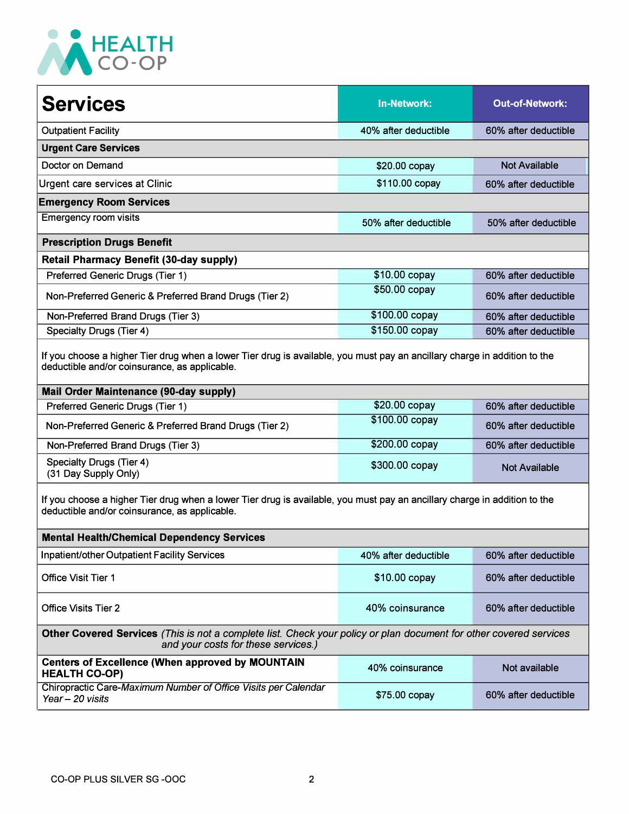

| <b>Services</b>                                                                                                                                                            | <b>In-Network:</b>   | <b>Out-of-Network:</b> |  |  |
|----------------------------------------------------------------------------------------------------------------------------------------------------------------------------|----------------------|------------------------|--|--|
| <b>Outpatient Facility</b>                                                                                                                                                 | 40% after deductible | 60% after deductible   |  |  |
| <b>Urgent Care Services</b>                                                                                                                                                |                      |                        |  |  |
| Doctor on Demand                                                                                                                                                           | $$20.00$ copay       | <b>Not Available</b>   |  |  |
| Urgent care services at Clinic                                                                                                                                             | \$110.00 copay       | 60% after deductible   |  |  |
| <b>Emergency Room Services</b>                                                                                                                                             |                      |                        |  |  |
| <b>Emergency room visits</b>                                                                                                                                               | 50% after deductible | 50% after deductible   |  |  |
| <b>Prescription Drugs Benefit</b>                                                                                                                                          |                      |                        |  |  |
| <b>Retail Pharmacy Benefit (30-day supply)</b>                                                                                                                             |                      |                        |  |  |
| Preferred Generic Drugs (Tier 1)                                                                                                                                           | \$10.00 copay        | 60% after deductible   |  |  |
| Non-Preferred Generic & Preferred Brand Drugs (Tier 2)                                                                                                                     | \$50.00 copay        | 60% after deductible   |  |  |
| Non-Preferred Brand Drugs (Tier 3)                                                                                                                                         | \$100.00 copay       | 60% after deductible   |  |  |
| Specialty Drugs (Tier 4)                                                                                                                                                   | \$150.00 copay       | 60% after deductible   |  |  |
| If you choose a higher Tier drug when a lower Tier drug is available, you must pay an ancillary charge in addition to the<br>deductible and/or coinsurance, as applicable. |                      |                        |  |  |
| <b>Mail Order Maintenance (90-day supply)</b>                                                                                                                              |                      |                        |  |  |
| Preferred Generic Drugs (Tier 1)                                                                                                                                           | \$20.00 copay        | 60% after deductible   |  |  |
| Non-Preferred Generic & Preferred Brand Drugs (Tier 2)                                                                                                                     | \$100.00 copay       | 60% after deductible   |  |  |
| Non-Preferred Brand Drugs (Tier 3)                                                                                                                                         | \$200.00 copay       | 60% after deductible   |  |  |

Non-Preferred Brand Drugs (Tier 3) Specialty Drugs (Tier 4) (31 Day Supply Only) \$200.00 copay 60% after deductible \$300.00 copay Not Available

If you choose a higher Tier drug when a lower Tier drug is available, you must pay an ancillary charge in addition to the deductible and/or coinsurance, as applicable.

| <b>Mental Health/Chemical Dependency Services</b>                                                                                                         |                      |                      |  |  |
|-----------------------------------------------------------------------------------------------------------------------------------------------------------|----------------------|----------------------|--|--|
| Inpatient/other Outpatient Facility Services                                                                                                              | 40% after deductible | 60% after deductible |  |  |
| <b>Office Visit Tier 1</b>                                                                                                                                | $$10.00$ copay       | 60% after deductible |  |  |
| 40% coinsurance<br><b>Office Visits Tier 2</b>                                                                                                            |                      | 60% after deductible |  |  |
| Other Covered Services (This is not a complete list. Check your policy or plan document for other covered services<br>and your costs for these services.) |                      |                      |  |  |
| <b>Centers of Excellence (When approved by MOUNTAIN</b><br><b>HEALTH CO-OP)</b>                                                                           | 40% coinsurance      | Not available        |  |  |
| Chiropractic Care-Maximum Number of Office Visits per Calendar<br>Year - 20 visits                                                                        | \$75.00 copay        | 60% after deductible |  |  |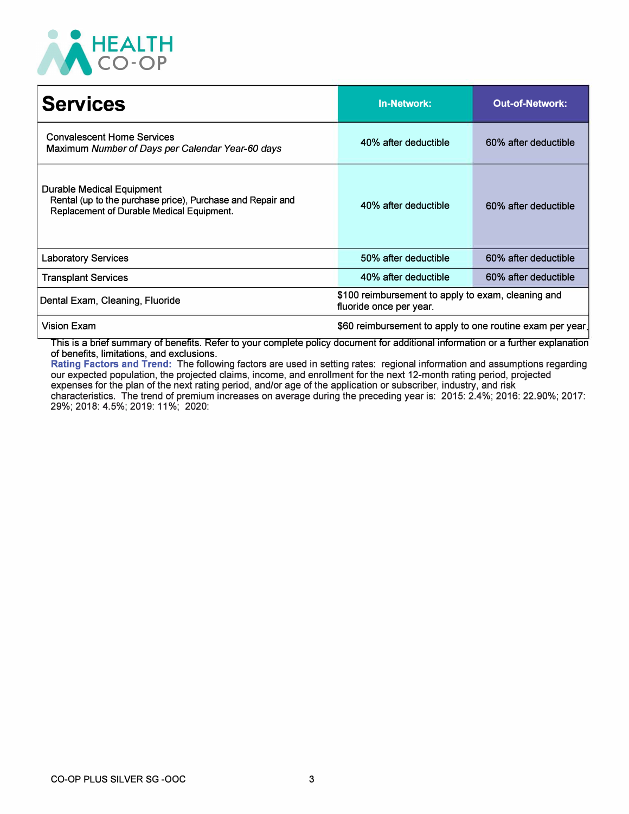

| <b>Services</b>                                                                                                                      | <b>In-Network:</b>                                                            | <b>Out-of-Network:</b> |
|--------------------------------------------------------------------------------------------------------------------------------------|-------------------------------------------------------------------------------|------------------------|
| <b>Convalescent Home Services</b><br>Maximum Number of Days per Calendar Year-60 days                                                | 40% after deductible                                                          | 60% after deductible   |
| Durable Medical Equipment<br>Rental (up to the purchase price), Purchase and Repair and<br>Replacement of Durable Medical Equipment. | 40% after deductible                                                          | 60% after deductible   |
| <b>Laboratory Services</b>                                                                                                           | 50% after deductible                                                          | 60% after deductible   |
| <b>Transplant Services</b>                                                                                                           | 40% after deductible                                                          | 60% after deductible   |
| Dental Exam, Cleaning, Fluoride                                                                                                      | \$100 reimbursement to apply to exam, cleaning and<br>fluoride once per year. |                        |
| <b>Vision Exam</b>                                                                                                                   | \$60 reimbursement to apply to one routine exam per year.                     |                        |

This is a brief summary of benefits. Refer to your complete policy document for additional information or a further explanation of benefits, limitations, and exclusions.

**Rating Factors and Trend:** The following factors are used in setting rates: regional information and assumptions regarding our expected population, the projected claims, income, and enrollment for the next 12-month rating period, projected expenses for the plan of the next rating period, and/or age of the application or subscriber, industry, and risk

characteristics. The trend of premium increases on average during the preceding year is: 2015: 2.4%; 2016: 22.90%; 2017: 29%; 2018: 4.5%; 2019: 11 %; 2020: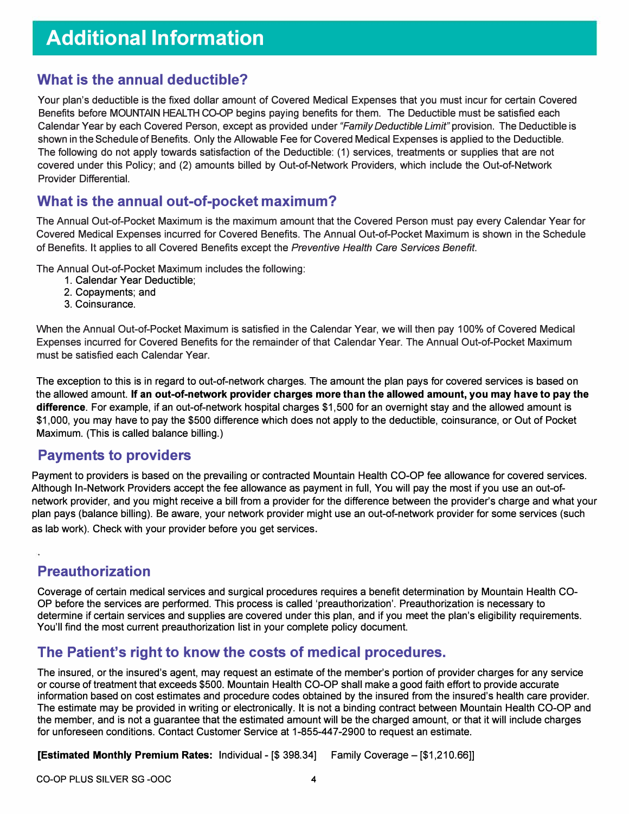### **What is the annual deductible?**

Your plan's deductible is the fixed dollar amount of Covered Medical Expenses that you must incur for certain Covered Benefits before MOUNTAIN HEALTH CO-OP begins paying benefits for them. The Deductible must be satisfied each Calendar Year by each Covered Person, except as provided under *"Family Deductible Limit"* provision. The Deductible is shown in the Schedule of Benefits. Only the Allowable Fee for Covered Medical Expenses is applied to the Deductible. The following do not apply towards satisfaction of the Deductible: ( 1) services, treatments or supplies that are not covered under this Policy; and (2) amounts billed by Out-of-Network Providers, which include the Out-of-Network Provider Differential.

#### **What is the annual out-of-pocket maximum?**

The Annual Out-of-Pocket Maximum is the maximum amount that the Covered Person must pay every Calendar Year for Covered Medical Expenses incurred for Covered Benefits. The Annual Out-of-Pocket Maximum is shown in the Schedule of Benefits. It applies to all Covered Benefits except the *Preventive Health Care Services Benefit.* 

The Annual Out-of-Pocket Maximum includes the following:

- 1. Calendar Year Deductible;
- 2. Copayments; and
- 3. Coinsurance.

When the Annual Out-of-Pocket Maximum is satisfied in the Calendar Year, we will then pay 100% of Covered Medical Expenses incurred for Covered Benefits for the remainder of that Calendar Year. The Annual Out-of-Pocket Maximum must be satisfied each Calendar Year.

The exception to this is in regard to out-of-network charges. The amount the plan pays for covered services is based on the allowed amount. **If an out-of-network provider charges more than the allowed amount, you may have to pay the difference.** For example, if an out-of-network hospital charges \$1,500 for an overnight stay and the allowed amount is \$1,000, you may have to pay the \$500 difference which does not apply to the deductible, coinsurance, or Out of Pocket Maximum. (This is called balance billing.)

#### **Payments to providers**

Payment to providers is based on the prevailing or contracted Mountain Health CO-OP fee allowance for covered services. Although In-Network Providers accept the fee allowance as payment in full, You will pay the most if you use an out-ofnetwork provider, and you might receive a bill from a provider for the difference between the provider's charge and what your plan pays (balance billing). Be aware, your network provider might use an out-of-network provider for some services (such as lab work). Check with your provider before you get services.

### **Preauthorization**

Coverage of certain medical services and surgical procedures requires a benefit determination by Mountain Health CO-OP before the services are performed. This process is called 'preauthorization'. Preauthorization is necessary to determine if certain services and supplies are covered under this plan, and if you meet the plan's eligibility requirements. You'll find the most current preauthorization list in your complete policy document.

### **The Patient's right to know the costs of medical procedures.**

The insured, or the insured's agent, may request an estimate of the member's portion of provider charges for any service or course of treatment that exceeds \$500. Mountain Health CO-OP shall make a good faith effort to provide accurate information based on cost estimates and procedure codes obtained by the insured from the insured's health care provider. The estimate may be provided in writing or electronically. It is not a binding contract between Mountain Health CO-OP and the member, and is not a guarantee that the estimated amount will be the charged amount, or that it will include charges for unforeseen conditions. Contact Customer Service at 1-855-447-2900 to request an estimate.

**[Estimated Monthly Premium Rates:** Individual - [\$ 398.34] Family Coverage - [\$1,210.66]]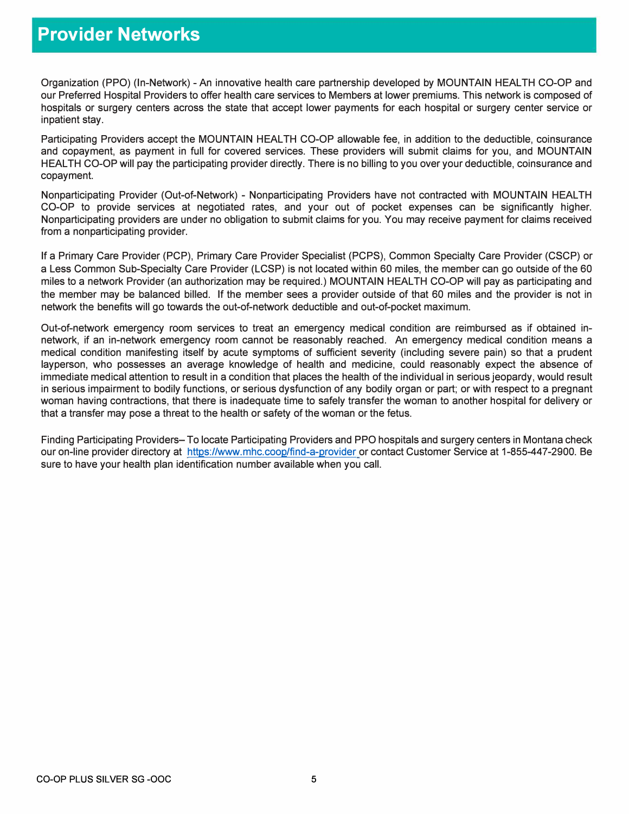## **Provider Networks**

Organization (PPO) (In-Network) - An innovative health care partnership developed by MOUNTAIN HEAL TH CO-OP and our Preferred Hospital Providers to offer health care services to Members at lower premiums. This network is composed of hospitals or surgery centers across the state that accept lower payments for each hospital or surgery center service or inpatient stay.

Participating Providers accept the MOUNTAIN HEALTH CO-OP allowable fee, in addition to the deductible, coinsurance and copayment, as payment in full for covered services. These providers will submit claims for you, and MOUNTAIN HEALTH CO-OP will pay the participating provider directly. There is no billing to you over your deductible, coinsurance and copayment.

Nonparticipating Provider (Out-of-Network) - Nonparticipating Providers have not contracted with MOUNTAIN HEALTH CO-OP to provide services at negotiated rates, and your out of pocket expenses can be significantly higher. Nonparticipating providers are under no obligation to submit claims for you. You may receive payment for claims received from a nonparticipating provider.

If a Primary Care Provider (PCP), Primary Care Provider Specialist (PCPS), Common Specialty Care Provider (CSCP) or a Less Common Sub-Specialty Care Provider (LCSP) is not located within 60 miles, the member can go outside of the 60 miles to a network Provider (an authorization may be required.) MOUNTAIN HEALTH CO-OP will pay as participating and the member may be balanced billed. If the member sees a provider outside of that 60 miles and the provider is not in network the benefits will go towards the out-of-network deductible and out-of-pocket maximum.

Out-of-network emergency room services to treat an emergency medical condition are reimbursed as if obtained innetwork, if an in-network emergency room cannot be reasonably reached. An emergency medical condition means a medical condition manifesting itself by acute symptoms of sufficient severity (including severe pain) so that a prudent layperson, who possesses an average knowledge of health and medicine, could reasonably expect the absence of immediate medical attention to result in a condition that places the health of the individual in serious jeopardy, would result in serious impairment to bodily functions, or serious dysfunction of any bodily organ or part; or with respect to a pregnant woman having contractions, that there is inadequate time to safely transfer the woman to another hospital for delivery or that a transfer may pose a threat to the health or safety of the woman or the fetus.

Finding Participating Providers- To locate Participating Providers and PPO hospitals and surgery centers in Montana check our on-line provider directory at https://www.mhc.coop/find-a-provider or contact Customer Service at 1-855-447-2900. Be sure to have your health plan identification number available when you call.